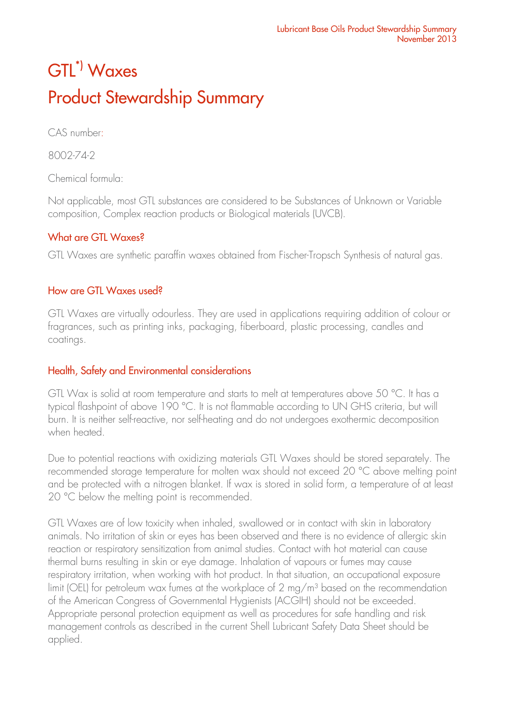# GTL\*) Waxes Product Stewardship Summary

CAS number:

8002-74-2

Chemical formula:

Not applicable, most GTL substances are considered to be Substances of Unknown or Variable composition, Complex reaction products or Biological materials (UVCB).

## What are GTL Waxes?

GTL Waxes are synthetic paraffin waxes obtained from Fischer-Tropsch Synthesis of natural gas.

### How are GTL Waxes used?

GTL Waxes are virtually odourless. They are used in applications requiring addition of colour or fragrances, such as printing inks, packaging, fiberboard, plastic processing, candles and coatings.

# Health, Safety and Environmental considerations

GTL Wax is solid at room temperature and starts to melt at temperatures above 50 °C. It has a typical flashpoint of above 190 °C. It is not flammable according to UN GHS criteria, but will burn. It is neither self-reactive, nor self-heating and do not undergoes exothermic decomposition when heated.

Due to potential reactions with oxidizing materials GTL Waxes should be stored separately. The recommended storage temperature for molten wax should not exceed 20 °C above melting point and be protected with a nitrogen blanket. If wax is stored in solid form, a temperature of at least 20 °C below the melting point is recommended.

GTL Waxes are of low toxicity when inhaled, swallowed or in contact with skin in laboratory animals. No irritation of skin or eyes has been observed and there is no evidence of allergic skin reaction or respiratory sensitization from animal studies. Contact with hot material can cause thermal burns resulting in skin or eye damage. Inhalation of vapours or fumes may cause respiratory irritation, when working with hot product. In that situation, an occupational exposure limit (OEL) for petroleum wax fumes at the workplace of 2 mg/m<sup>3</sup> based on the recommendation of the American Congress of Governmental Hygienists (ACGIH) should not be exceeded. Appropriate personal protection equipment as well as procedures for safe handling and risk management controls as described in the current Shell Lubricant Safety Data Sheet should be applied.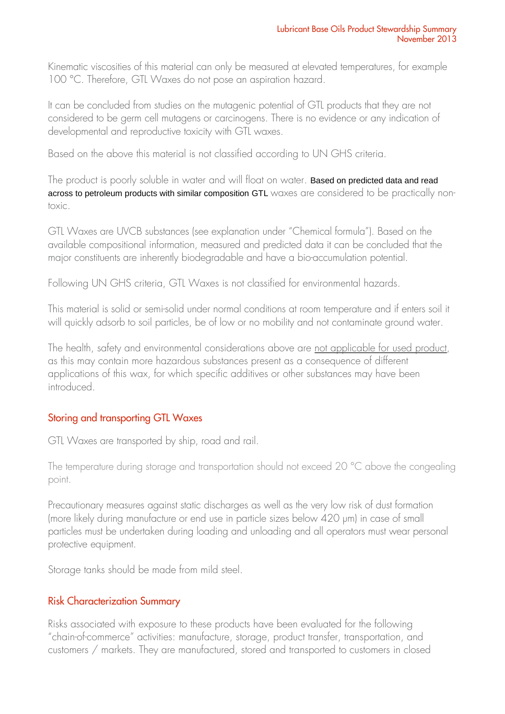Kinematic viscosities of this material can only be measured at elevated temperatures, for example 100 °C. Therefore, GTL Waxes do not pose an aspiration hazard.

It can be concluded from studies on the mutagenic potential of GTL products that they are not considered to be germ cell mutagens or carcinogens. There is no evidence or any indication of developmental and reproductive toxicity with GTL waxes.

Based on the above this material is not classified according to UN GHS criteria.

The product is poorly soluble in water and will float on water. Based on predicted data and read across to petroleum products with similar composition GTL waxes are considered to be practically nontoxic.

GTL Waxes are UVCB substances (see explanation under "Chemical formula"). Based on the available compositional information, measured and predicted data it can be concluded that the major constituents are inherently biodegradable and have a bio-accumulation potential.

Following UN GHS criteria, GTL Waxes is not classified for environmental hazards.

This material is solid or semi-solid under normal conditions at room temperature and if enters soil it will quickly adsorb to soil particles, be of low or no mobility and not contaminate ground water.

The health, safety and environmental considerations above are not applicable for used product, as this may contain more hazardous substances present as a consequence of different applications of this wax, for which specific additives or other substances may have been introduced.

### Storing and transporting GTL Waxes

GTL Waxes are transported by ship, road and rail.

The temperature during storage and transportation should not exceed 20 °C above the congealing point.

Precautionary measures against static discharges as well as the very low risk of dust formation (more likely during manufacture or end use in particle sizes below 420 µm) in case of small particles must be undertaken during loading and unloading and all operators must wear personal protective equipment.

Storage tanks should be made from mild steel.

### Risk Characterization Summary

Risks associated with exposure to these products have been evaluated for the following "chain-of-commerce" activities: manufacture, storage, product transfer, transportation, and customers / markets. They are manufactured, stored and transported to customers in closed